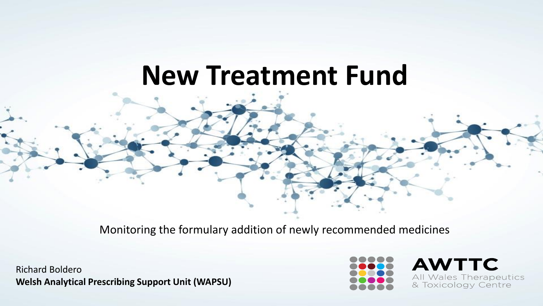# **New Treatment Fund**

Monitoring the formulary addition of newly recommended medicines

Richard Boldero **Welsh Analytical Prescribing Support Unit (WAPSU)**



**AWTTC** All Wales Therapeutics & Toxicology Centre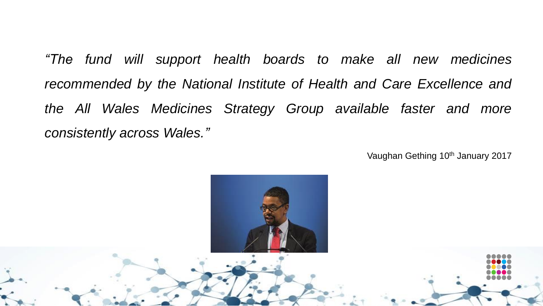*"The fund will support health boards to make all new medicines recommended by the National Institute of Health and Care Excellence and the All Wales Medicines Strategy Group available faster and more consistently across Wales."*

Vaughan Gething 10<sup>th</sup> January 2017

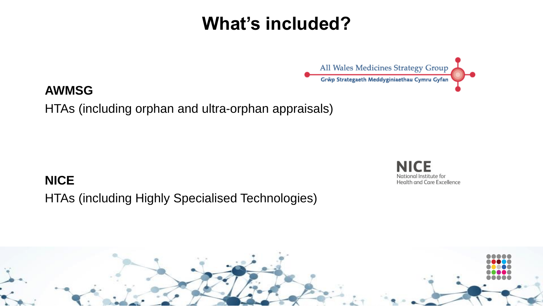### **What's included?**



#### **AWMSG**

HTAs (including orphan and ultra-orphan appraisals)

**NICE**  HTAs (including Highly Specialised Technologies)

**NICE** National Institute for Health and Care Excellence

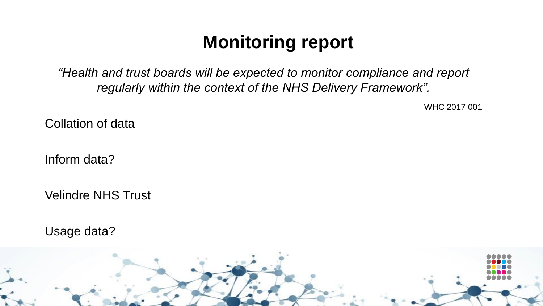## **Monitoring report**

*"Health and trust boards will be expected to monitor compliance and report regularly within the context of the NHS Delivery Framework".* 

WHC 2017 001

Collation of data

Inform data?

Velindre NHS Trust

Usage data?

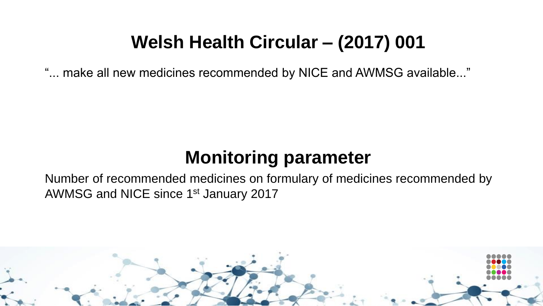### **Welsh Health Circular – (2017) 001**

"... make all new medicines recommended by NICE and AWMSG available..."

### **Monitoring parameter**

Number of recommended medicines on formulary of medicines recommended by AWMSG and NICE since 1st January 2017

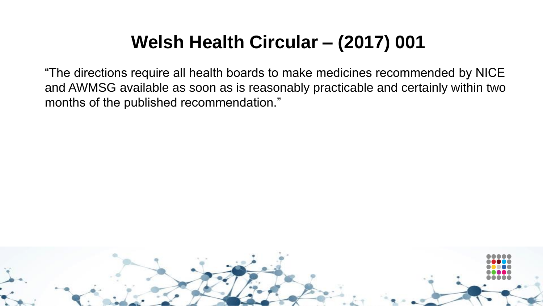## **Welsh Health Circular – (2017) 001**

"The directions require all health boards to make medicines recommended by NICE and AWMSG available as soon as is reasonably practicable and certainly within two months of the published recommendation."

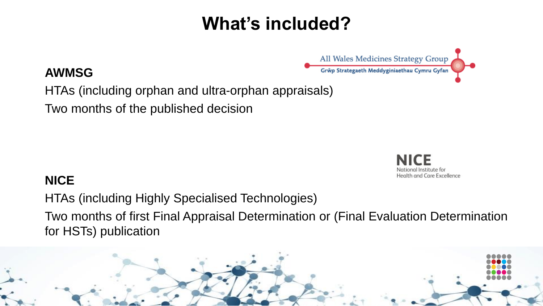## **What's included?**

#### **AWMSG**

HTAs (including orphan and ultra-orphan appraisals)

Two months of the published decision

All Wales Medicines Strategy Group Grŵp Strategaeth Meddyginiaethau Cymru Gyfan



#### **NICE**

HTAs (including Highly Specialised Technologies) Two months of first Final Appraisal Determination or (Final Evaluation Determination for HSTs) publication

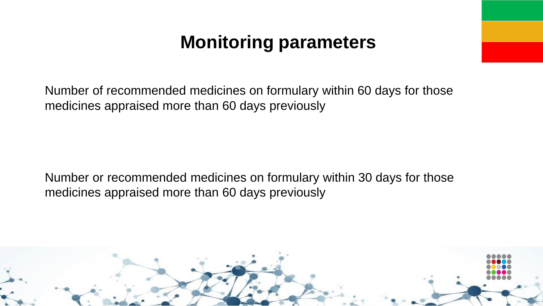### **Monitoring parameters**

Number of recommended medicines on formulary within 60 days for those medicines appraised more than 60 days previously

Number or recommended medicines on formulary within 30 days for those medicines appraised more than 60 days previously

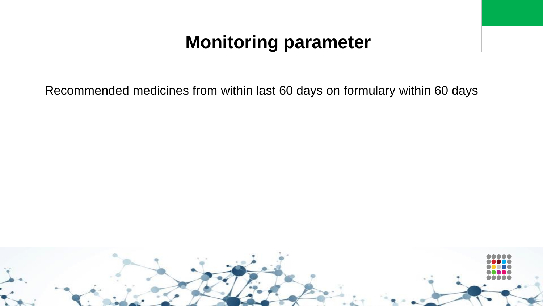### **Monitoring parameter**

Recommended medicines from within last 60 days on formulary within 60 days

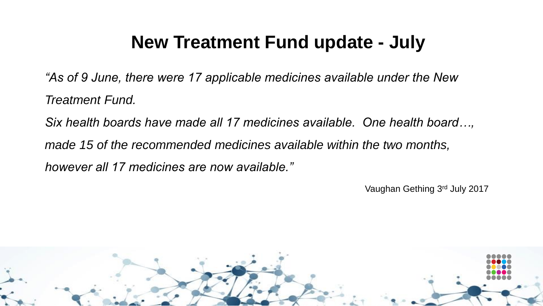### **New Treatment Fund update - July**

*"As of 9 June, there were 17 applicable medicines available under the New Treatment Fund.*

*Six health boards have made all 17 medicines available. One health board…,* 

*made 15 of the recommended medicines available within the two months,* 

*however all 17 medicines are now available."*

Vaughan Gething 3<sup>rd</sup> July 2017

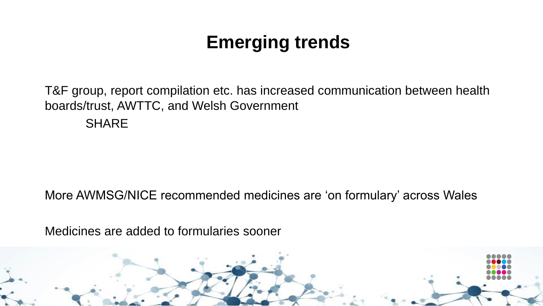# **Emerging trends**

T&F group, report compilation etc. has increased communication between health boards/trust, AWTTC, and Welsh Government **SHARE** 

More AWMSG/NICE recommended medicines are 'on formulary' across Wales

Medicines are added to formularies sooner